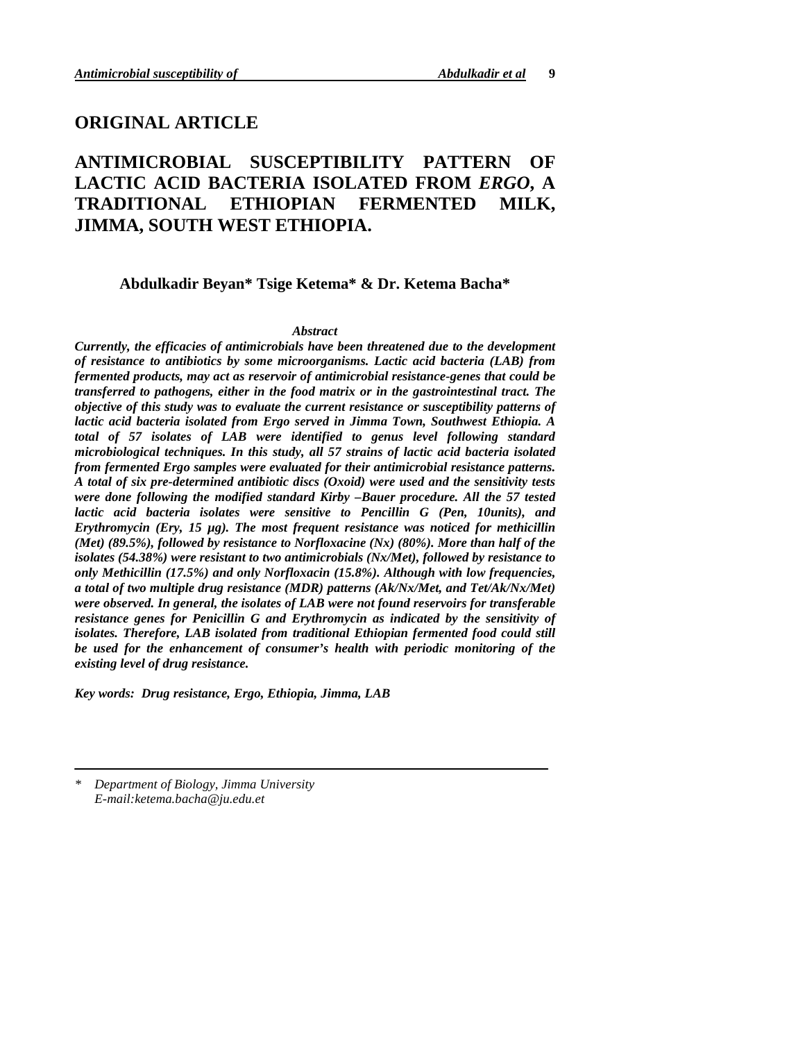## **ORIGINAL ARTICLE**

# **ANTIMICROBIAL SUSCEPTIBILITY PATTERN OF LACTIC ACID BACTERIA ISOLATED FROM** *ERGO***, A TRADITIONAL ETHIOPIAN FERMENTED MILK, JIMMA, SOUTH WEST ETHIOPIA.**

**Abdulkadir Beyan\* Tsige Ketema\* & Dr. Ketema Bacha\***

### *Abstract*

*Currently, the efficacies of antimicrobials have been threatened due to the development of resistance to antibiotics by some microorganisms. Lactic acid bacteria (LAB) from fermented products, may act as reservoir of antimicrobial resistance-genes that could be transferred to pathogens, either in the food matrix or in the gastrointestinal tract. The objective of this study was to evaluate the current resistance or susceptibility patterns of lactic acid bacteria isolated from Ergo served in Jimma Town, Southwest Ethiopia. A total of 57 isolates of LAB were identified to genus level following standard microbiological techniques. In this study, all 57 strains of lactic acid bacteria isolated from fermented Ergo samples were evaluated for their antimicrobial resistance patterns. A total of six pre-determined antibiotic discs (Oxoid) were used and the sensitivity tests were done following the modified standard Kirby –Bauer procedure. All the 57 tested lactic acid bacteria isolates were sensitive to Pencillin G (Pen, 10units), and Erythromycin (Ery, 15 µg). The most frequent resistance was noticed for methicillin (Met) (89.5%), followed by resistance to Norfloxacine (Nx) (80%). More than half of the isolates (54.38%) were resistant to two antimicrobials (Nx/Met), followed by resistance to only Methicillin (17.5%) and only Norfloxacin (15.8%). Although with low frequencies, a total of two multiple drug resistance (MDR) patterns (Ak/Nx/Met, and Tet/Ak/Nx/Met) were observed. In general, the isolates of LAB were not found reservoirs for transferable resistance genes for Penicillin G and Erythromycin as indicated by the sensitivity of isolates. Therefore, LAB isolated from traditional Ethiopian fermented food could still be used for the enhancement of consumer's health with periodic monitoring of the existing level of drug resistance.* 

*Key words: Drug resistance, Ergo, Ethiopia, Jimma, LAB* 

*\* Department of Biology, Jimma University E-mail:ketema.bacha@ju.edu.et*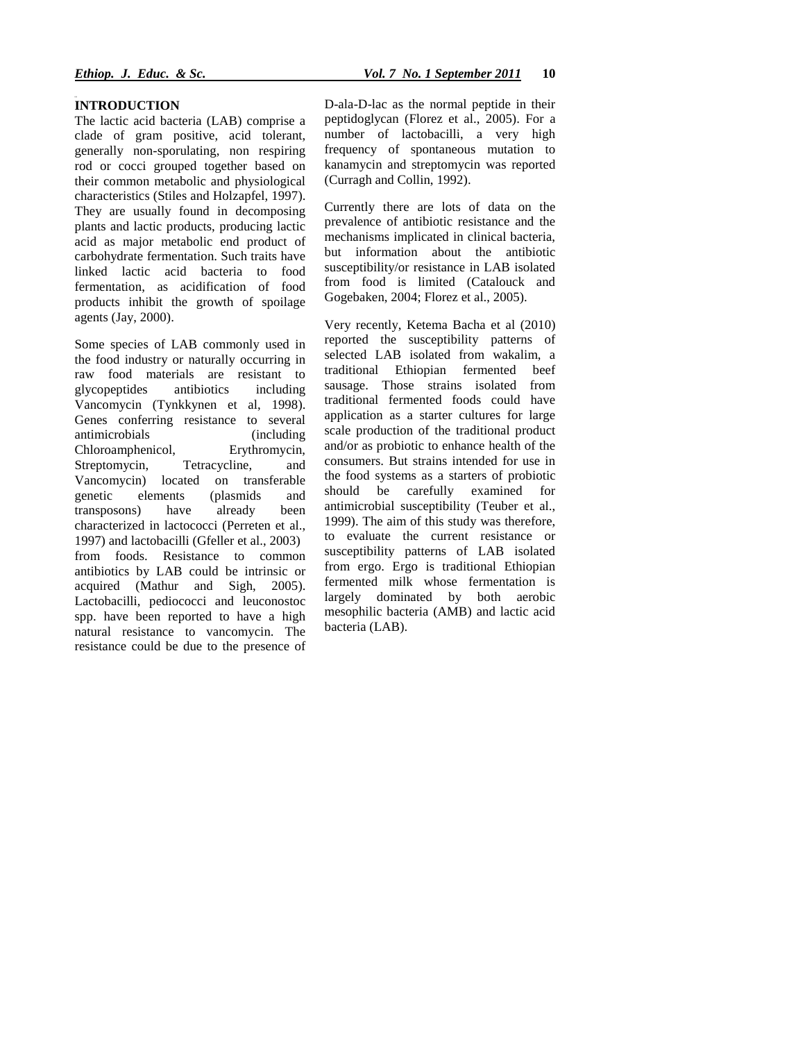#### **INTRODUCTION**

The lactic acid bacteria (LAB) comprise a clade of gram positive, acid tolerant, generally non-sporulating, non respiring rod or cocci grouped together based on their common metabolic and physiological characteristics (Stiles and Holzapfel, 1997). They are usually found in decomposing plants and lactic products, producing lactic acid as major metabolic end product of carbohydrate fermentation. Such traits have linked lactic acid bacteria to food fermentation, as acidification of food products inhibit the growth of spoilage agents (Jay, 2000).

Some species of LAB commonly used in the food industry or naturally occurring in raw food materials are resistant to glycopeptides antibiotics including Vancomycin (Tynkkynen et al, 1998). Genes conferring resistance to several antimicrobials (including Chloroamphenicol, Erythromycin, Streptomycin, Tetracycline, and Vancomycin) located on transferable genetic elements (plasmids and transposons) have already been characterized in lactococci (Perreten et al., 1997) and lactobacilli (Gfeller et al., 2003) from foods. Resistance to common antibiotics by LAB could be intrinsic or acquired (Mathur and Sigh, 2005). Lactobacilli, pediococci and leuconostoc spp. have been reported to have a high natural resistance to vancomycin. The resistance could be due to the presence of D-ala-D-lac as the normal peptide in their peptidoglycan (Florez et al., 2005). For a number of lactobacilli, a very high frequency of spontaneous mutation to kanamycin and streptomycin was reported (Curragh and Collin, 1992).

Currently there are lots of data on the prevalence of antibiotic resistance and the mechanisms implicated in clinical bacteria, but information about the antibiotic susceptibility/or resistance in LAB isolated from food is limited (Catalouck and Gogebaken, 2004; Florez et al., 2005).

Very recently, Ketema Bacha et al (2010) reported the susceptibility patterns of selected LAB isolated from wakalim, a traditional Ethiopian fermented beef sausage. Those strains isolated from traditional fermented foods could have application as a starter cultures for large scale production of the traditional product and/or as probiotic to enhance health of the consumers. But strains intended for use in the food systems as a starters of probiotic should be carefully examined for antimicrobial susceptibility (Teuber et al., 1999). The aim of this study was therefore, to evaluate the current resistance or susceptibility patterns of LAB isolated from ergo. Ergo is traditional Ethiopian fermented milk whose fermentation is largely dominated by both aerobic mesophilic bacteria (AMB) and lactic acid bacteria (LAB).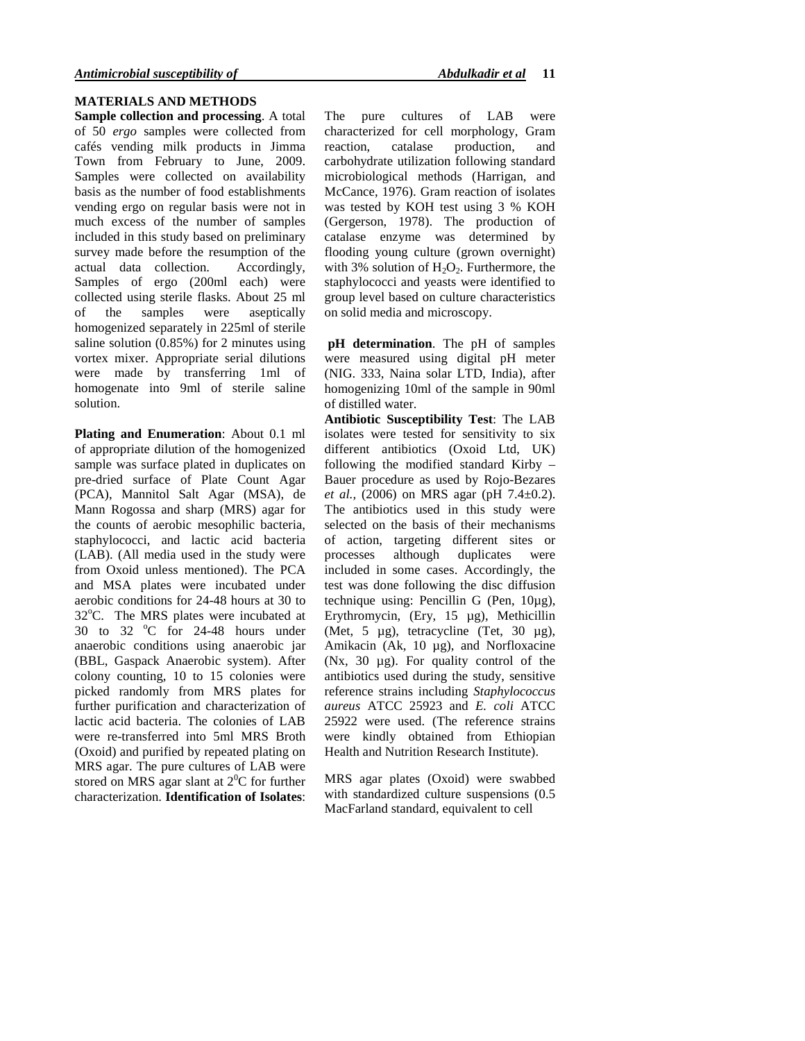## **MATERIALS AND METHODS**

**Sample collection and processing**. A total of 50 *ergo* samples were collected from cafés vending milk products in Jimma Town from February to June, 2009. Samples were collected on availability basis as the number of food establishments vending ergo on regular basis were not in much excess of the number of samples included in this study based on preliminary survey made before the resumption of the actual data collection. Accordingly, actual data collection. Samples of ergo (200ml each) were collected using sterile flasks. About 25 ml of the samples were aseptically homogenized separately in 225ml of sterile saline solution (0.85%) for 2 minutes using vortex mixer. Appropriate serial dilutions were made by transferring 1ml of homogenate into 9ml of sterile saline solution.

**Plating and Enumeration**: About 0.1 ml of appropriate dilution of the homogenized sample was surface plated in duplicates on pre-dried surface of Plate Count Agar (PCA), Mannitol Salt Agar (MSA), de Mann Rogossa and sharp (MRS) agar for the counts of aerobic mesophilic bacteria, staphylococci, and lactic acid bacteria (LAB). (All media used in the study were from Oxoid unless mentioned). The PCA and MSA plates were incubated under aerobic conditions for 24-48 hours at 30 to  $32^{\circ}$ C. The MRS plates were incubated at 30 to 32  $^{\circ}$ C for 24-48 hours under anaerobic conditions using anaerobic jar (BBL, Gaspack Anaerobic system). After colony counting, 10 to 15 colonies were picked randomly from MRS plates for further purification and characterization of lactic acid bacteria. The colonies of LAB were re-transferred into 5ml MRS Broth (Oxoid) and purified by repeated plating on MRS agar. The pure cultures of LAB were stored on MRS agar slant at  $2^{0}C$  for further characterization. **Identification of Isolates**: The pure cultures of LAB were characterized for cell morphology, Gram reaction, catalase production, and carbohydrate utilization following standard microbiological methods (Harrigan, and McCance, 1976). Gram reaction of isolates was tested by KOH test using 3 % KOH (Gergerson, 1978). The production of catalase enzyme was determined by flooding young culture (grown overnight) with 3% solution of  $H_2O_2$ . Furthermore, the staphylococci and yeasts were identified to group level based on culture characteristics on solid media and microscopy.

**pH determination**. The pH of samples were measured using digital pH meter (NIG. 333, Naina solar LTD, India), after homogenizing 10ml of the sample in 90ml of distilled water.

**Antibiotic Susceptibility Test**: The LAB isolates were tested for sensitivity to six different antibiotics (Oxoid Ltd, UK) following the modified standard Kirby – Bauer procedure as used by Rojo-Bezares *et al.,* (2006) on MRS agar (pH 7.4±0.2). The antibiotics used in this study were selected on the basis of their mechanisms of action, targeting different sites or processes although duplicates were included in some cases. Accordingly, the test was done following the disc diffusion technique using: Pencillin G (Pen, 10µg), Erythromycin, (Ery, 15 µg), Methicillin (Met, 5 µg), tetracycline (Tet, 30 µg), Amikacin (Ak, 10 µg), and Norfloxacine (Nx, 30 µg). For quality control of the antibiotics used during the study, sensitive reference strains including *Staphylococcus aureus* ATCC 25923 and *E. coli* ATCC 25922 were used. (The reference strains were kindly obtained from Ethiopian Health and Nutrition Research Institute).

MRS agar plates (Oxoid) were swabbed with standardized culture suspensions (0.5 MacFarland standard, equivalent to cell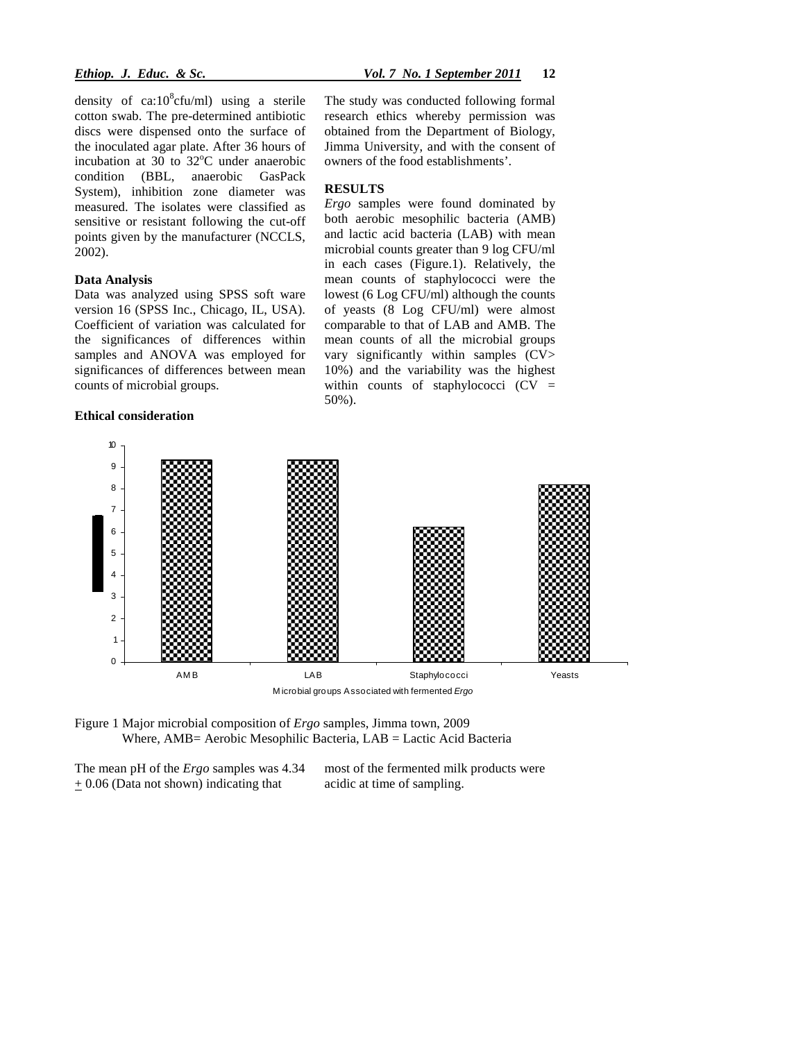density of  $ca:10^8$ cfu/ml) using a sterile cotton swab. The pre-determined antibiotic discs were dispensed onto the surface of the inoculated agar plate. After 36 hours of incubation at 30 to  $32^{\circ}$ C under anaerobic condition (BBL, anaerobic GasPack System), inhibition zone diameter was measured. The isolates were classified as sensitive or resistant following the cut-off points given by the manufacturer (NCCLS, 2002).

## **Data Analysis**

Data was analyzed using SPSS soft ware version 16 (SPSS Inc., Chicago, IL, USA). Coefficient of variation was calculated for the significances of differences within samples and ANOVA was employed for significances of differences between mean counts of microbial groups.

#### **Ethical consideration**

The study was conducted following formal research ethics whereby permission was obtained from the Department of Biology, Jimma University, and with the consent of owners of the food establishments'.

## **RESULTS**

*Ergo* samples were found dominated by both aerobic mesophilic bacteria (AMB) and lactic acid bacteria (LAB) with mean microbial counts greater than 9 log CFU/ml in each cases (Figure.1). Relatively, the mean counts of staphylococci were the lowest (6 Log CFU/ml) although the counts of yeasts (8 Log CFU/ml) were almost comparable to that of LAB and AMB. The mean counts of all the microbial groups vary significantly within samples (CV> 10%) and the variability was the highest within counts of staphylococci  $(CV =$ 50%).



Figure 1 Major microbial composition of *Ergo* samples, Jimma town, 2009 Where, AMB= Aerobic Mesophilic Bacteria, LAB = Lactic Acid Bacteria

The mean pH of the *Ergo* samples was 4.34 + 0.06 (Data not shown) indicating that

most of the fermented milk products were acidic at time of sampling.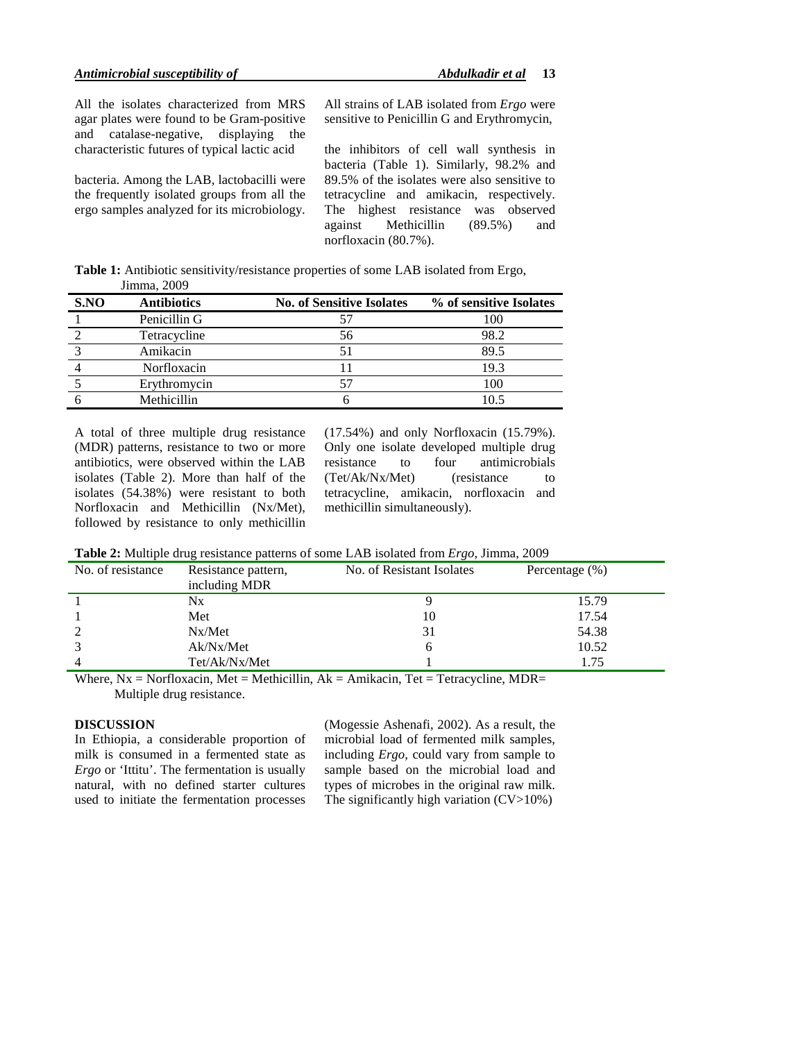All the isolates characterized from MRS agar plates were found to be Gram-positive and catalase-negative, displaying the characteristic futures of typical lactic acid

bacteria. Among the LAB, lactobacilli were the frequently isolated groups from all the ergo samples analyzed for its microbiology.

All strains of LAB isolated from *Ergo* were sensitive to Penicillin G and Erythromycin,

the inhibitors of cell wall synthesis in bacteria (Table 1). Similarly, 98.2% and 89.5% of the isolates were also sensitive to tetracycline and amikacin, respectively. The highest resistance was observed against Methicillin (89.5%) and norfloxacin (80.7%).

**Table 1:** Antibiotic sensitivity/resistance properties of some LAB isolated from Ergo, Jimma, 2009

| S.NO | <b>Antibiotics</b> | <b>No. of Sensitive Isolates</b> | % of sensitive Isolates |
|------|--------------------|----------------------------------|-------------------------|
|      | Penicillin G       |                                  | 100                     |
|      | Tetracycline       | 56                               | 98.2                    |
|      | Amikacin           |                                  | 89.5                    |
|      | Norfloxacin        |                                  | 19.3                    |
|      | Erythromycin       |                                  | 100                     |
|      | Methicillin        |                                  | 10.5                    |

A total of three multiple drug resistance (MDR) patterns, resistance to two or more antibiotics, were observed within the LAB isolates (Table 2). More than half of the isolates (54.38%) were resistant to both Norfloxacin and Methicillin (Nx/Met), followed by resistance to only methicillin (17.54%) and only Norfloxacin (15.79%). Only one isolate developed multiple drug<br>resistance to four antimicrobials resistance to four antimicrobials (Tet/Ak/Nx/Met) (resistance to tetracycline, amikacin, norfloxacin and methicillin simultaneously).

**Table 2:** Multiple drug resistance patterns of some LAB isolated from *Ergo*, Jimma, 2009

| No. of resistance | Resistance pattern,<br>including MDR | No. of Resistant Isolates | Percentage $(\% )$ |  |
|-------------------|--------------------------------------|---------------------------|--------------------|--|
|                   | Nx                                   |                           | 15.79              |  |
|                   | Met                                  | 10                        | 17.54              |  |
| 2                 | Nx/Met                               | 31                        | 54.38              |  |
|                   | Ak/Nx/Met                            |                           | 10.52              |  |
| 4                 | Tet/Ak/Nx/Met                        |                           | 1.75               |  |

Where,  $Nx = \text{Norfloxacin}$ ,  $Met = \text{Method}$ ,  $Ak = \text{Amikacin}$ ,  $Tet = \text{Tetracycline}$ ,  $MDR =$ Multiple drug resistance.

#### **DISCUSSION**

In Ethiopia, a considerable proportion of milk is consumed in a fermented state as *Ergo* or 'Ittitu'. The fermentation is usually natural, with no defined starter cultures used to initiate the fermentation processes

(Mogessie Ashenafi, 2002). As a result, the microbial load of fermented milk samples, including *Ergo*, could vary from sample to sample based on the microbial load and types of microbes in the original raw milk. The significantly high variation  $(CV>10\%)$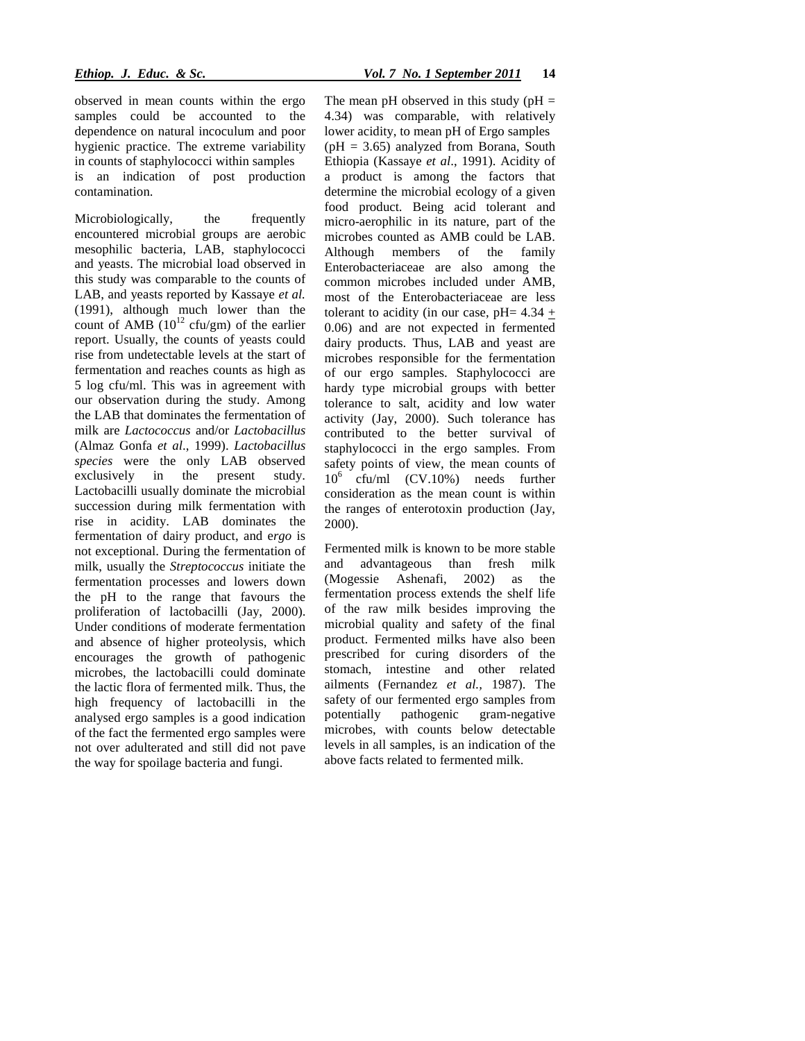observed in mean counts within the ergo samples could be accounted to the dependence on natural incoculum and poor hygienic practice. The extreme variability in counts of staphylococci within samples is an indication of post production contamination.

Microbiologically, the frequently encountered microbial groups are aerobic mesophilic bacteria, LAB, staphylococci and yeasts. The microbial load observed in this study was comparable to the counts of LAB, and yeasts reported by Kassaye *et al.* (1991), although much lower than the count of AMB  $(10^{12} \text{ cfty/m})$  of the earlier report. Usually, the counts of yeasts could rise from undetectable levels at the start of fermentation and reaches counts as high as 5 log cfu/ml. This was in agreement with our observation during the study. Among the LAB that dominates the fermentation of milk are *Lactococcus* and/or *Lactobacillus*  (Almaz Gonfa *et al*., 1999). *Lactobacillus species* were the only LAB observed exclusively in the present study. Lactobacilli usually dominate the microbial succession during milk fermentation with rise in acidity. LAB dominates the fermentation of dairy product, and e*rgo* is not exceptional. During the fermentation of milk, usually the *Streptococcus* initiate the fermentation processes and lowers down the pH to the range that favours the proliferation of lactobacilli (Jay, 2000). Under conditions of moderate fermentation and absence of higher proteolysis, which encourages the growth of pathogenic microbes, the lactobacilli could dominate the lactic flora of fermented milk. Thus, the high frequency of lactobacilli in the analysed ergo samples is a good indication of the fact the fermented ergo samples were not over adulterated and still did not pave the way for spoilage bacteria and fungi.

The mean pH observed in this study ( $pH =$ 4.34) was comparable, with relatively lower acidity, to mean pH of Ergo samples  $(pH = 3.65)$  analyzed from Borana, South Ethiopia (Kassaye *et al*., 1991). Acidity of a product is among the factors that determine the microbial ecology of a given food product. Being acid tolerant and micro-aerophilic in its nature, part of the microbes counted as AMB could be LAB. Although members of the family Enterobacteriaceae are also among the common microbes included under AMB, most of the Enterobacteriaceae are less tolerant to acidity (in our case,  $pH = 4.34 +$ 0.06) and are not expected in fermented dairy products. Thus, LAB and yeast are microbes responsible for the fermentation of our ergo samples. Staphylococci are hardy type microbial groups with better tolerance to salt, acidity and low water activity (Jay, 2000). Such tolerance has contributed to the better survival of staphylococci in the ergo samples. From safety points of view, the mean counts of  $10^6$  cfu/ml (CV.10%) needs further consideration as the mean count is within the ranges of enterotoxin production (Jay, 2000).

Fermented milk is known to be more stable and advantageous than fresh milk (Mogessie Ashenafi, 2002) as the fermentation process extends the shelf life of the raw milk besides improving the microbial quality and safety of the final product. Fermented milks have also been prescribed for curing disorders of the stomach, intestine and other related ailments (Fernandez *et al.,* 1987). The safety of our fermented ergo samples from potentially pathogenic gram-negative microbes, with counts below detectable levels in all samples, is an indication of the above facts related to fermented milk.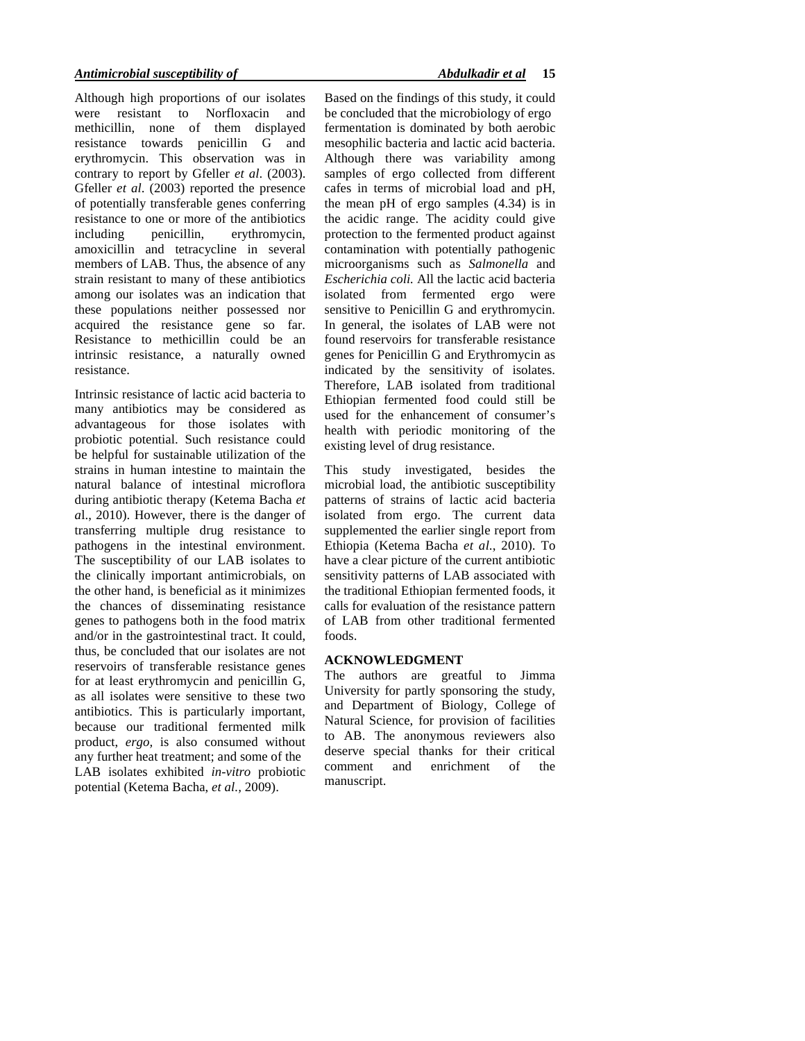Although high proportions of our isolates were resistant to Norfloxacin and methicillin, none of them displayed resistance towards penicillin G and erythromycin. This observation was in contrary to report by Gfeller *et al*. (2003). Gfeller *et al*. (2003) reported the presence of potentially transferable genes conferring resistance to one or more of the antibiotics including penicillin, erythromycin, amoxicillin and tetracycline in several members of LAB. Thus, the absence of any strain resistant to many of these antibiotics among our isolates was an indication that these populations neither possessed nor acquired the resistance gene so far. Resistance to methicillin could be an intrinsic resistance, a naturally owned resistance.

Intrinsic resistance of lactic acid bacteria to many antibiotics may be considered as advantageous for those isolates with probiotic potential. Such resistance could be helpful for sustainable utilization of the strains in human intestine to maintain the natural balance of intestinal microflora during antibiotic therapy (Ketema Bacha *et a*l., 2010). However, there is the danger of transferring multiple drug resistance to pathogens in the intestinal environment. The susceptibility of our LAB isolates to the clinically important antimicrobials, on the other hand, is beneficial as it minimizes the chances of disseminating resistance genes to pathogens both in the food matrix and/or in the gastrointestinal tract. It could, thus, be concluded that our isolates are not reservoirs of transferable resistance genes for at least erythromycin and penicillin G, as all isolates were sensitive to these two antibiotics. This is particularly important, because our traditional fermented milk product, *ergo,* is also consumed without any further heat treatment; and some of the LAB isolates exhibited *in-vitro* probiotic potential (Ketema Bacha, *et al.,* 2009).

Based on the findings of this study, it could be concluded that the microbiology of ergo fermentation is dominated by both aerobic mesophilic bacteria and lactic acid bacteria. Although there was variability among samples of ergo collected from different cafes in terms of microbial load and pH, the mean pH of ergo samples (4.34) is in the acidic range. The acidity could give protection to the fermented product against contamination with potentially pathogenic microorganisms such as *Salmonella* and *Escherichia coli.* All the lactic acid bacteria isolated from fermented ergo were sensitive to Penicillin G and erythromycin. In general, the isolates of LAB were not found reservoirs for transferable resistance genes for Penicillin G and Erythromycin as indicated by the sensitivity of isolates. Therefore, LAB isolated from traditional Ethiopian fermented food could still be used for the enhancement of consumer's health with periodic monitoring of the existing level of drug resistance.

This study investigated, besides the microbial load, the antibiotic susceptibility patterns of strains of lactic acid bacteria isolated from ergo. The current data supplemented the earlier single report from Ethiopia (Ketema Bacha *et al*., 2010). To have a clear picture of the current antibiotic sensitivity patterns of LAB associated with the traditional Ethiopian fermented foods, it calls for evaluation of the resistance pattern of LAB from other traditional fermented foods.

## **ACKNOWLEDGMENT**

The authors are greatful to Jimma University for partly sponsoring the study, and Department of Biology, College of Natural Science, for provision of facilities to AB. The anonymous reviewers also deserve special thanks for their critical<br>comment and enrichment of the comment and enrichment of the manuscript.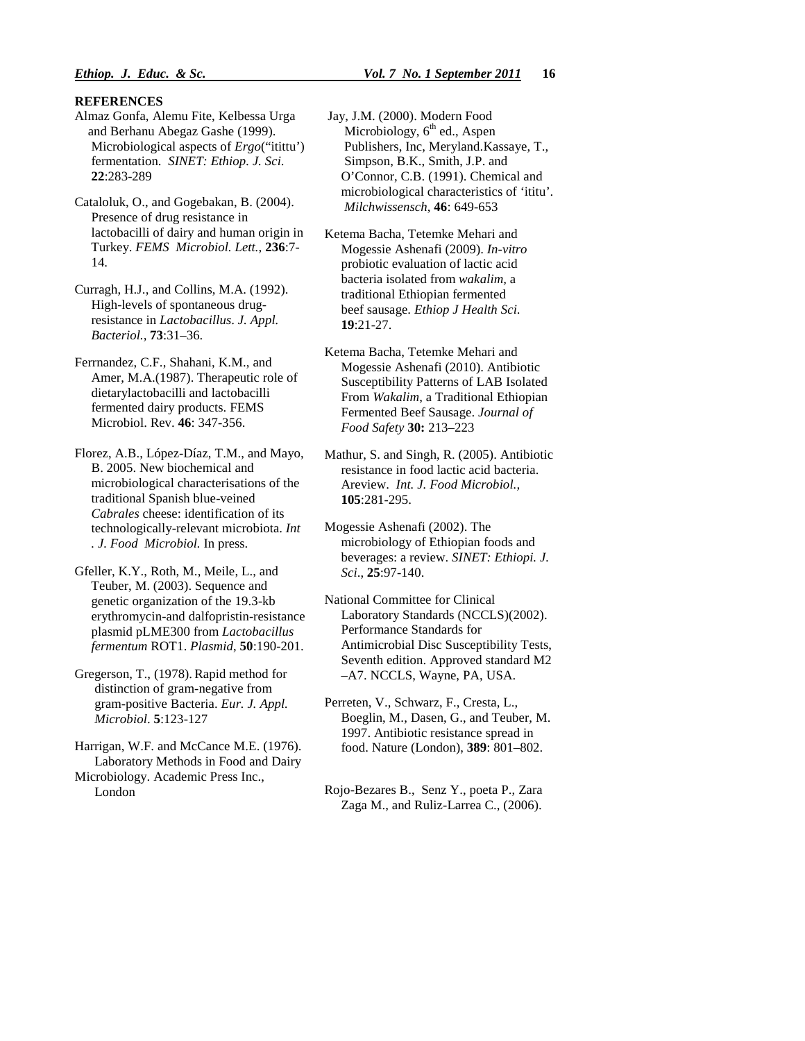#### **REFERENCES**

- Almaz Gonfa, Alemu Fite, Kelbessa Urga and Berhanu Abegaz Gashe (1999). Microbiological aspects of *Ergo*("itittu') fermentation. *SINET: Ethiop. J. Sci*.  **22**:283-289
- Cataloluk, O., and Gogebakan, B. (2004). Presence of drug resistance in lactobacilli of dairy and human origin in Turkey. *FEMS Microbiol. Lett.,* **236**:7- 14.

Curragh, H.J., and Collins, M.A. (1992). High-levels of spontaneous drug resistance in *Lactobacillus*. *J. Appl. Bacteriol.,* **73**:31–36.

- Ferrnandez, C.F., Shahani, K.M., and Amer, M.A.(1987). Therapeutic role of dietarylactobacilli and lactobacilli fermented dairy products. FEMS Microbiol. Rev. **46**: 347-356.
- Florez, A.B., López-Díaz, T.M., and Mayo, B. 2005. New biochemical and microbiological characterisations of the traditional Spanish blue-veined *Cabrales* cheese: identification of its technologically-relevant microbiota. *Int . J. Food Microbiol.* In press.
- Gfeller, K.Y., Roth, M., Meile, L., and Teuber, M. (2003). Sequence and genetic organization of the 19.3-kb erythromycin-and dalfopristin-resistance plasmid pLME300 from *Lactobacillus fermentum* ROT1. *Plasmid*, **50**:190-201.
- Gregerson, T., (1978). Rapid method for distinction of gram-negative from gram-positive Bacteria. *Eur. J. Appl. Microbiol*. **5**:123-127
- Harrigan, W.F. and McCance M.E. (1976). Laboratory Methods in Food and Dairy Microbiology. Academic Press Inc., London
- Jay, J.M. (2000). Modern Food Microbiology,  $6<sup>th</sup>$  ed., Aspen Publishers, Inc, Meryland.Kassaye, T., Simpson, B.K., Smith, J.P. and O'Connor, C.B. (1991). Chemical and microbiological characteristics of 'ititu'. *Milchwissensch*, **46**: 649-653
- Ketema Bacha, Tetemke Mehari and Mogessie Ashenafi (2009). *In-vitro* probiotic evaluation of lactic acid bacteria isolated from *wakalim,* a traditional Ethiopian fermented beef sausage. *Ethiop J Health Sci*. **19**:21-27.
- Ketema Bacha, Tetemke Mehari and Mogessie Ashenafi (2010). Antibiotic Susceptibility Patterns of LAB Isolated From *Wakalim*, a Traditional Ethiopian Fermented Beef Sausage. *Journal of Food Safety* **30:** 213–223
- Mathur, S. and Singh, R. (2005). Antibiotic resistance in food lactic acid bacteria. Areview. *Int. J. Food Microbiol.,* **105**:281-295.
- Mogessie Ashenafi (2002). The microbiology of Ethiopian foods and beverages: a review. *SINET: Ethiopi. J. Sci*., **25**:97-140.
- National Committee for Clinical Laboratory Standards (NCCLS)(2002). Performance Standards for Antimicrobial Disc Susceptibility Tests, Seventh edition. Approved standard M2 –A7. NCCLS, Wayne, PA, USA.
- Perreten, V., Schwarz, F., Cresta, L., Boeglin, M., Dasen, G., and Teuber, M. 1997. Antibiotic resistance spread in food. Nature (London), **389**: 801–802.
- Rojo-Bezares B., Senz Y., poeta P., Zara Zaga M., and Ruliz-Larrea C., (2006).